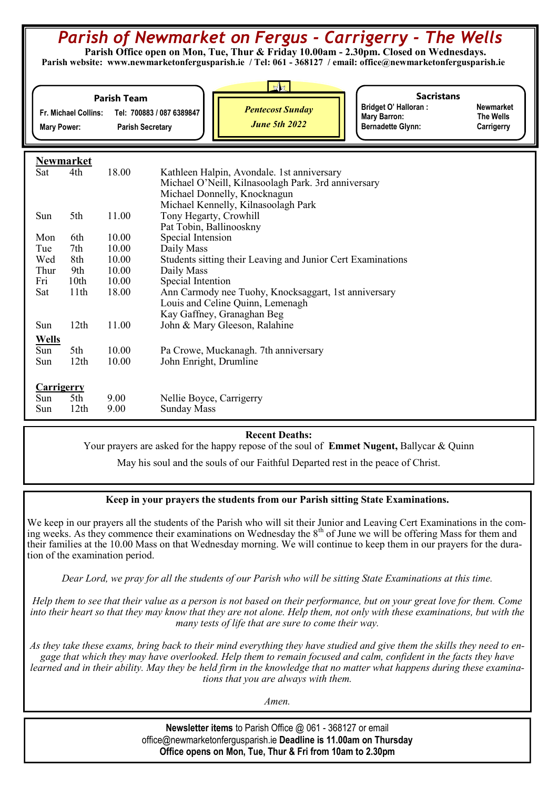# *Parish of Newmarket on Fergus - Carrigerry - The Wells*

 **Parish Office open on Mon, Tue, Thur & Friday 10.00am - 2.30pm. Closed on Wednesdays. Parish website: www.newmarketonfergusparish.ie / Tel: 061 - 368127 / email: office@newmarketonfergusparish.ie**

| <b>Bridget O' Halloran:</b><br><b>Pentecost Sunday</b><br>Tel: 700883 / 087 6389847<br><b>Fr. Michael Collins:</b><br><b>Mary Barron:</b><br><b>June 5th 2022</b><br><b>Bernadette Glynn:</b><br><b>Parish Secretary</b><br><b>Mary Power:</b> | <b>Parish Team</b> | NZ | <b>Sacristans</b> |
|------------------------------------------------------------------------------------------------------------------------------------------------------------------------------------------------------------------------------------------------|--------------------|----|-------------------|
|                                                                                                                                                                                                                                                |                    |    |                   |

**Newmarket The Wells Carrigerry** 

**Newmarket**

|              | I WILLIAI KU     |       |                                                             |
|--------------|------------------|-------|-------------------------------------------------------------|
| Sat          | 4th              | 18.00 | Kathleen Halpin, Avondale. 1st anniversary                  |
|              |                  |       | Michael O'Neill, Kilnasoolagh Park. 3rd anniversary         |
|              |                  |       | Michael Donnelly, Knocknagun                                |
|              |                  |       | Michael Kennelly, Kilnasoolagh Park                         |
| Sun          | 5th              | 11.00 | Tony Hegarty, Crowhill                                      |
|              |                  |       | Pat Tobin, Ballinooskny                                     |
| Mon          | 6th              | 10.00 | Special Intension                                           |
| Tue          | 7th              | 10.00 | Daily Mass                                                  |
| Wed          | 8th              | 10.00 | Students sitting their Leaving and Junior Cert Examinations |
| Thur         | 9th              | 10.00 | Daily Mass                                                  |
| Fri          | 10 <sub>th</sub> | 10.00 | Special Intention                                           |
| Sat          | 11 <sup>th</sup> | 18.00 | Ann Carmody nee Tuohy, Knocksaggart, 1st anniversary        |
|              |                  |       | Louis and Celine Quinn, Lemenagh                            |
|              |                  |       | Kay Gaffney, Granaghan Beg                                  |
| Sun          | 12th             | 11.00 | John & Mary Gleeson, Ralahine                               |
| <b>Wells</b> |                  |       |                                                             |
| Sun          | 5th              | 10.00 | Pa Crowe, Muckanagh. 7th anniversary                        |
| Sun          | 12th             | 10.00 | John Enright, Drumline                                      |
|              |                  |       |                                                             |
| Carrigerry   |                  |       |                                                             |
| Sun          | 5th              | 9.00  | Nellie Boyce, Carrigerry                                    |
| Sun          | 12 <sup>th</sup> | 9.00  | <b>Sunday Mass</b>                                          |
|              |                  |       |                                                             |

#### **Recent Deaths:**

Your prayers are asked for the happy repose of the soul of **Emmet Nugent,** Ballycar & Quinn 

May his soul and the souls of our Faithful Departed rest in the peace of Christ.

#### **Keep in your prayers the students from our Parish sitting State Examinations.**

We keep in our prayers all the students of the Parish who will sit their Junior and Leaving Cert Examinations in the coming weeks. As they commence their examinations on Wednesday the 8<sup>th</sup> of June we will be offering Mass for them and their families at the 10.00 Mass on that Wednesday morning. We will continue to keep them in our prayers for the duration of the examination period.

*Dear Lord, we pray for all the students of our Parish who will be sitting State Examinations at this time.*

*Help them to see that their value as a person is not based on their performance, but on your great love for them. Come into their heart so that they may know that they are not alone. Help them, not only with these examinations, but with the many tests of life that are sure to come their way.*

*As they take these exams, bring back to their mind everything they have studied and give them the skills they need to engage that which they may have overlooked. Help them to remain focused and calm, confident in the facts they have learned and in their ability. May they be held firm in the knowledge that no matter what happens during these examinations that you are always with them.* 

*Amen.*

**Newsletter items** to Parish Office @ 061 - 368127 or email office@newmarketonfergusparish.ie **Deadline is 11.00am on Thursday Office opens on Mon, Tue, Thur & Fri from 10am to 2.30pm**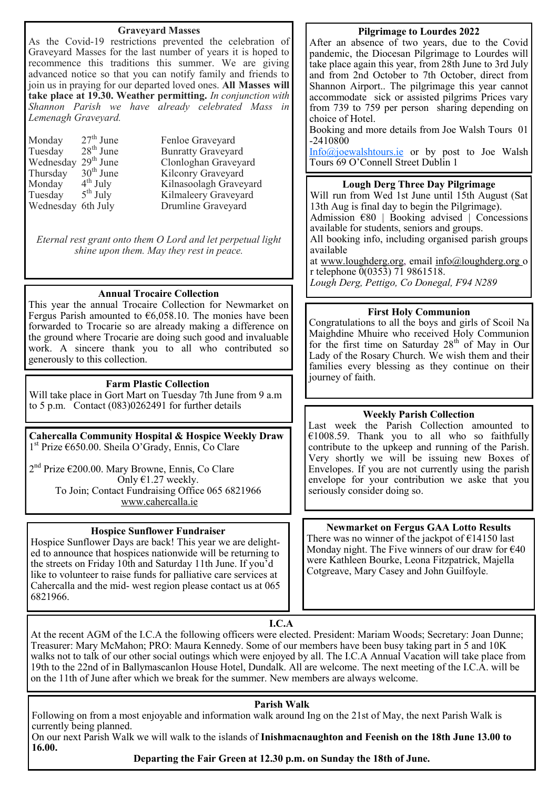#### **Graveyard Masses**

As the Covid-19 restrictions prevented the celebration of Graveyard Masses for the last number of years it is hoped to recommence this traditions this summer. We are giving advanced notice so that you can notify family and friends to join us in praying for our departed loved ones. **All Masses will take place at 19.30. Weather permitting.** *In conjunction with Shannon Parish we have already celebrated Mass in Lemenagh Graveyard.*

Monday  $27^{th}$  June Fenloe Graveyard<br>Tuesday  $28^{th}$  June Bunratty Graveyar Monday  $4^{\text{th}}$  July<br>Tuesday  $5^{\text{th}}$  July **Tuesday** 

Bunratty Graveyard Wednesday  $29^{th}$  June Clonloghan Graveyard<br>Thursday  $30^{th}$  June Kilconry Graveyard Thursday 30<sup>th</sup> June Kilconry Graveyard<br>Monday 4<sup>th</sup> July Kilnasoolagh Gravey Kilnasoolagh Graveyard Kilmaleery Graveyard Wednesday 6th July Drumline Graveyard

*Eternal rest grant onto them O Lord and let perpetual light shine upon them. May they rest in peace.*

#### **Annual Trocaire Collection**

This year the annual Trocaire Collection for Newmarket on Fergus Parish amounted to  $\epsilon$ 6,058.10. The monies have been forwarded to Trocarie so are already making a difference on the ground where Trocarie are doing such good and invaluable work. A sincere thank you to all who contributed so generously to this collection.

### **Farm Plastic Collection**

Will take place in Gort Mart on Tuesday 7th June from 9 a.m to 5 p.m. Contact (083)0262491 for further details

**Cahercalla Community Hospital & Hospice Weekly Draw** 1 st Prize €650.00. Sheila O'Grady, Ennis, Co Clare

2<sup>nd</sup> Prize €200.00. Mary Browne, Ennis, Co Clare Only  $\epsilon$ 1.27 weekly. To Join; Contact Fundraising Office 065 6821966 [www.cahercalla.ie](http://www.cahercalla.ie)

#### **Hospice Sunflower Fundraiser**

Hospice Sunflower Days are back! This year we are delighted to announce that hospices nationwide will be returning to the streets on Friday 10th and Saturday 11th June. If you'd like to volunteer to raise funds for palliative care services at Cahercalla and the mid- west region please contact us at 065 6821966.

#### **Pilgrimage to Lourdes 2022**

After an absence of two years, due to the Covid pandemic, the Diocesan Pilgrimage to Lourdes will take place again this year, from 28th June to 3rd July and from 2nd October to 7th October, direct from Shannon Airport.. The pilgrimage this year cannot accommodate sick or assisted pilgrims Prices vary from 739 to 759 per person sharing depending on choice of Hotel.

Booking and more details from Joe Walsh Tours 01  $-2410800$ 

[Info@joewalshtours.ie](mailto:Info@joewalshtours.ie) or by post to Joe Walsh Tours 69 O'Connell Street Dublin 1

#### **Lough Derg Three Day Pilgrimage**

Will run from Wed 1st June until 15th August (Sat 13th Aug is final day to begin the Pilgrimage). Admission  $\epsilon$ 80 | Booking advised | Concessions

available for students, seniors and groups. All booking info, including organised parish groups available

at [www.loughderg.org,](http://www.loughderg.org/) email [info@loughderg.org](mailto:info@loughderg.org%20) o r telephone 0(0353) 71 9861518. *Lough Derg, Pettigo, Co Donegal, F94 N289*

#### **First Holy Communion**

Congratulations to all the boys and girls of Scoil Na Maighdine Mhuire who received Holy Communion for the first time on Saturday  $28<sup>th</sup>$  of May in Our Lady of the Rosary Church. We wish them and their families every blessing as they continue on their journey of faith.

#### **Weekly Parish Collection**

Last week the Parish Collection amounted to €1008.59. Thank you to all who so faithfully contribute to the upkeep and running of the Parish. Very shortly we will be issuing new Boxes of Envelopes. If you are not currently using the parish envelope for your contribution we aske that you seriously consider doing so.

#### **Newmarket on Fergus GAA Lotto Results**

There was no winner of the jackpot of  $\epsilon$ 14150 last Monday night. The Five winners of our draw for  $\epsilon$ 40 were Kathleen Bourke, Leona Fitzpatrick, Majella Cotgreave, Mary Casey and John Guilfoyle.

**I.C.A**

At the recent AGM of the I.C.A the following officers were elected. President: Mariam Woods; Secretary: Joan Dunne; Treasurer: Mary McMahon; PRO: Maura Kennedy. Some of our members have been busy taking part in 5 and 10K walks not to talk of our other social outings which were enjoyed by all. The I.C.A Annual Vacation will take place from 19th to the 22nd of in Ballymascanlon House Hotel, Dundalk. All are welcome. The next meeting of the I.C.A. will be on the 11th of June after which we break for the summer. New members are always welcome.

#### **Parish Walk**

Following on from a most enjoyable and information walk around Ing on the 21st of May, the next Parish Walk is currently being planned.

On our next Parish Walk we will walk to the islands of **Inishmacnaughton and Feenish on the 18th June 13.00 to 16.00.**

**Departing the Fair Green at 12.30 p.m. on Sunday the 18th of June.**